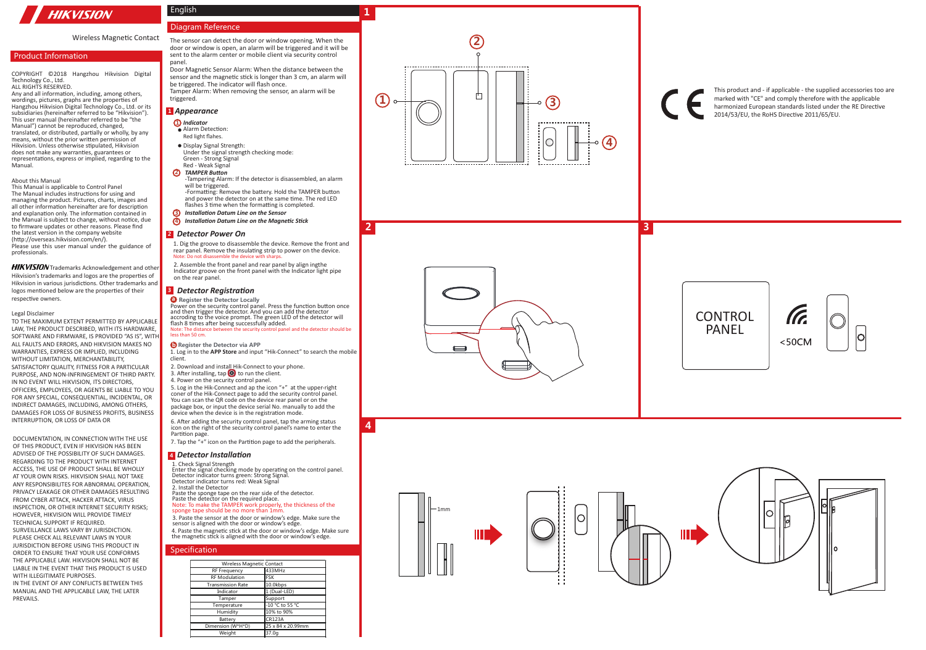# **HIKVISION**

# Wireless Magnetic Contact

# **Product Information**

COPYRIGHT ©2018 Hangzhou Hikvision Digital Technology Co., Ltd. ALL RIGHTS RESERVED.

Any and all information, including, among others, wordings, pictures, graphs are the properties of Hangzhou Hikvision Digital Technology Co., Ltd. or its subsidiaries (hereinafter referred to be "Hikvision"). This user manual (hereinafter referred to be "the Manual") cannot be reproduced, changed, translated, or distributed, partially or wholly, by any means, without the prior written permission of Hikvision. Unless otherwise stipulated, Hikvision does not make any warranties, guarantees or representations, express or implied, regarding to the Manual.

#### About this Manual

This Manual is applicable to Control Panel The Manual includes instructions for using and managing the product. Pictures, charts, images and all other information hereinafter are for description and explanation only. The information contained in the Manual is subject to change, without notice, due to firmware updates or other reasons. Please find the latest version in the company website (http://overseas.hikvision.com/en/). Please use this user manual under the guidance of professionals.

HIKVISION Trademarks Acknowledgement and other Hikvision's trademarks and logos are the properties of Hikvision in various jurisdictions. Other trademarks and logos mentioned below are the properties of their respective owners.

#### Legal Disclaimer

TO THE MAXIMUM EXTENT PERMITTED BY APPLICABLE LAW, THE PRODUCT DESCRIBED, WITH ITS HARDWARE SOFTWARE AND FIRMWARE, IS PROVIDED "AS IS", WITH ALL FAULTS AND ERRORS, AND HIKVISION MAKES NO WARRANTIES, EXPRESS OR IMPLIED, INCLUDING WITHOUT LIMITATION, MERCHANTABILITY, SATISFACTORY QUALITY, FITNESS FOR A PARTICULAR PURPOSE, AND NON-INFRINGEMENT OF THIRD PARTY. IN NO EVENT WILL HIKVISION, ITS DIRECTORS, OFFICERS, EMPLOYEES, OR AGENTS BE LIABLE TO YOU FOR ANY SPECIAL, CONSEQUENTIAL, INCIDENTAL, OR INDIRECT DAMAGES, INCLUDING, AMONG OTHERS, DAMAGES FOR LOSS OF BUSINESS PROFITS, BUSINESS INTERRUPTION, OR LOSS OF DATA OR

DOCUMENTATION, IN CONNECTION WITH THE USE OF THIS PRODUCT, EVEN IF HIKVISION HAS BEEN ADVISED OF THE POSSIBILITY OF SUCH DAMAGES. REGARDING TO THE PRODUCT WITH INTERNET ACCESS, THE USE OF PRODUCT SHALL BE WHOLLY AT YOUR OWN RISKS. HIKVISION SHALL NOT TAKE ANY RESPONSIBILITES FOR ABNORMAL OPERATION, PRIVACY LEAKAGE OR OTHER DAMAGES RESULTING FROM CYBER ATTACK, HACKER ATTACK, VIRUS INSPECTION, OR OTHER INTERNET SECURITY RISKS; HOWEVER, HIKVISION WILL PROVIDE TIMELY TECHNICAL SUPPORT IF REQUIRED. SURVEILLANCE LAWS VARY BY JURISDICTION. PLEASE CHECK ALL RELEVANT LAWS IN YOUR JURISDICTION BEFORE USING THIS PRODUCT IN ORDER TO ENSURE THAT YOUR USE CONFORMS THE APPLICABLE LAW. HIKVISION SHALL NOT BE LIABLE IN THE EVENT THAT THIS PRODUCT IS USED WITH ILLEGITIMATE PURPOSES. IN THE EVENT OF ANY CONFLICTS BETWEEN THIS MANUAL AND THE APPLICABLE LAW, THE LATER PREVAILS.

# Diagram Reference

English

The sensor can detect the door or window opening. When the door or window is open, an alarm will be triggered and it will be sent to the alarm center or mobile client via security control panel. Door Magnetic Sensor Alarm: When the distance between the

sensor and the magnetic stick is longer than 3 cm, an alarm will be triggered. The indicator will flash once. Tamper Alarm: When removing the sensor, an alarm will be triggered.

### <sup>1</sup> Appearance

- *Indicator* • Alarm Detection:
	- Red light flahes.
- Display Signal Strength: Under the signal strength checking mode: Green - Strong Signal Red - Weak Signal

#### *TAMPER Button*

-Tampering Alarm: If the detector is disassembled, an alarm will be triggered. -Formatting: Remove the battery. Hold the TAMPER button and power the detector on at the same time. The red LED

 $\overline{2}$ 

 $\boldsymbol{A}$ 

flashes 3 time when the formatting is completed.

# *Installation Datum Line on the Sensor*

*Installation Datum Line on the Magnetic Stick*

# <sup>2</sup> Detector Power On

1. Dig the groove to disassemble the device. Remove the front and rear panel. Remove the insulating strip to power on the device.<br>Note: Do not disassemble the device with sharps. emble the device wit

2. Assemble the front panel and rear panel by align ingthe Indicator groove on the front panel with the Indicator light pipe on the rear panel.

## **B** Detector Registration

**Register the Detector Locally** 

Power on the security control panel. Press the function button once<br>and then trigger the detector. And you can add the detector accroding to the voice prompt. The green LED of the detector will flash 8 times after being successfully added.<br>Note: The distance between the security control pane Note: The distance between the security control panel and the detector should be less than 50 cm. **142** *Appearance* **<b>2** *Detector* **1324 1324 1324 1324 1324 1324 1324 1324 1324 1324 1324 1324 1324 1424 1434 1434 1434 1434 1434 1434 1444 1444 1444 1444 1444 1444 14** 

#### **Register the Detector via APP**

1. Log in to the **APP Store** and input "Hik-Connect" to search the mobile client.

- 2. Download and install Hik-Connect to your phone.
- 3. After installing, tap  $\bigodot$  to run the client.
- 4. Power on the security control panel.
- 5. Log in the Hik-Connect and ap the icon "+" at the upper-right coner of the Hik-Connect page to add the security control panel. You can scan the QR code on the device rear panel or on the package box, or input the device serial No. manually to add the device when the device is in the registration mode.

6. After adding the security control panel, tap the arming status icon on the right of the security control panel's name to enter the Partition page.

7. Tap the "+" icon on the Partition page to add the peripherals.

#### *Detector Installation*

1. Check Signal Strength

Enter the signal checking mode by operating on the control panel. Detector indicator turns green: Strong Signal. Detector indicator turns red: Weak Signal

2. Install the Detector Paste the sponge tape on the rear side of the detector. Paste the detector on the required place.

#### Note: To make the TAMPER work properly, the thickness of the sponge tape should be no more than 1mm

3. Paste the sensor at the door or window's edge. Make sure the sensor is aligned with the door or window's edge. 4. Paste the magnetic stick at the door or window's edge. Make sure the magnetic stick is aligned with the door or window's edge.

# Specification

| Wireless Magnetic Contact |                   |
|---------------------------|-------------------|
| <b>RF Frequency</b>       | 433MHz            |
| <b>RF</b> Modulation      | <b>FSK</b>        |
| <b>Transmission Rate</b>  | 10.0kbps          |
| Indicator                 | 1 (Dual-LED)      |
| Tamper                    | Support           |
| Temperature               | -10 °C to 55 °C   |
| Humidity                  | 10% to 90%        |
| Battery                   | <b>CR123A</b>     |
| Dimension (W*H*D)         | 25 x 84 x 20.99mm |
| Weight                    | 37.0a             |



# $\blacksquare$



| v |  |
|---|--|

This product and - if applicable - the supplied accessories too are marked with "CE" and comply therefore with the applicable harmonized European standards listed under the RE Directive

2014/53/EU, the RoHS Directive 2011/65/EU.



**3**